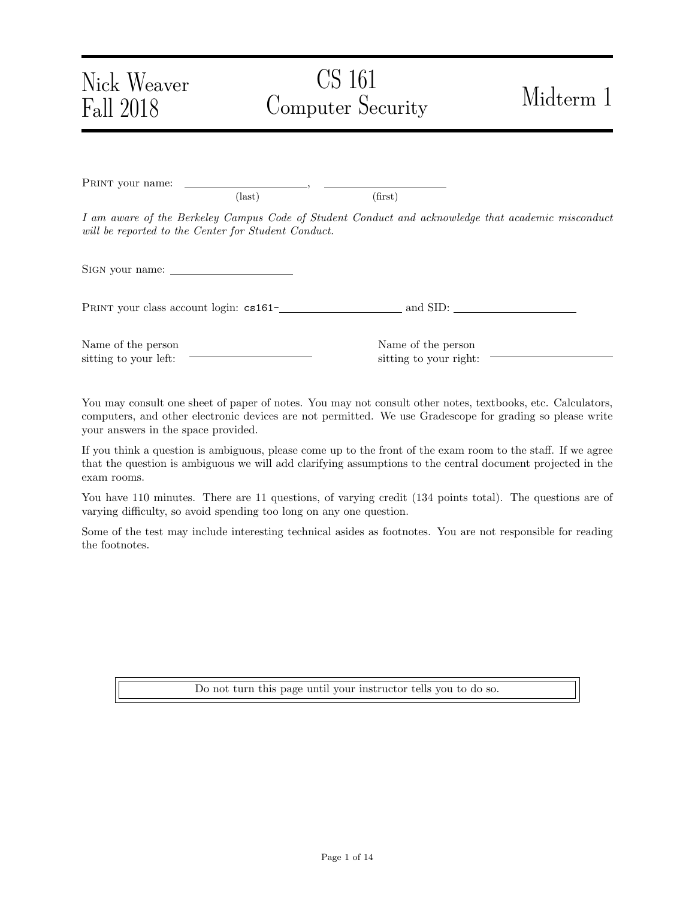# Nick Weaver Fall 2018

# CS 161 Computer Security Midterm 1

PRINT your name:  $\text{(last)}\tag{first}$ I am aware of the Berkeley Campus Code of Student Conduct and acknowledge that academic misconduct will be reported to the Center for Student Conduct. Sign your name:

PRINT your class account login:  $cs161$ - and SID:

Name of the person sitting to your left:

Name of the person sitting to your right:

You may consult one sheet of paper of notes. You may not consult other notes, textbooks, etc. Calculators, computers, and other electronic devices are not permitted. We use Gradescope for grading so please write your answers in the space provided.

If you think a question is ambiguous, please come up to the front of the exam room to the staff. If we agree that the question is ambiguous we will add clarifying assumptions to the central document projected in the exam rooms.

You have 110 minutes. There are 11 questions, of varying credit (134 points total). The questions are of varying difficulty, so avoid spending too long on any one question.

Some of the test may include interesting technical asides as footnotes. You are not responsible for reading the footnotes.

Do not turn this page until your instructor tells you to do so.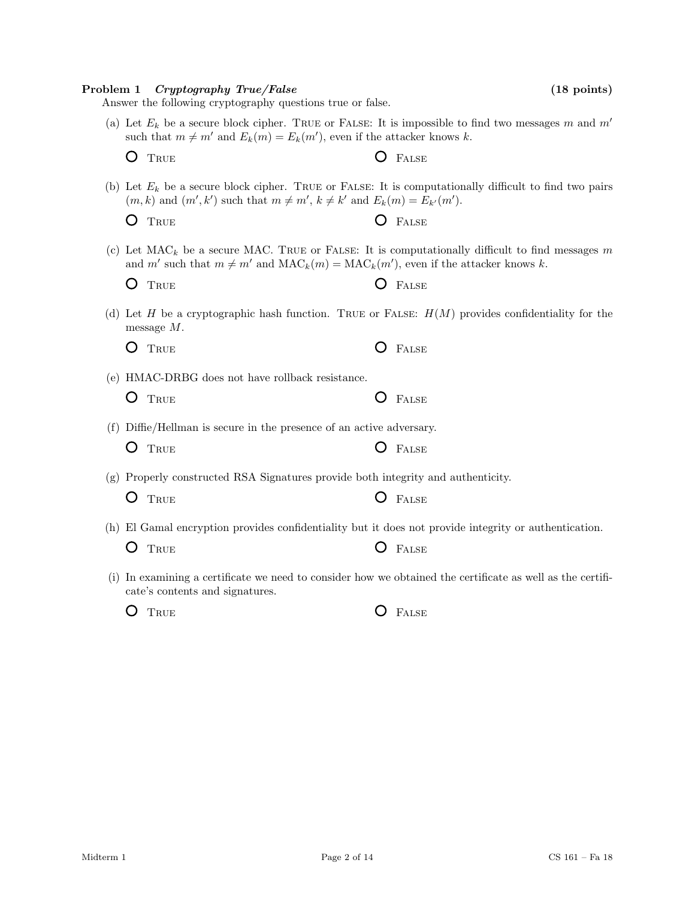|     | (g) Properly constructed RSA Signatures provide both integrity and authenticity.<br>TRUE                                         | FALSE        |
|-----|----------------------------------------------------------------------------------------------------------------------------------|--------------|
|     | (h) El Gamal encryption provides confidentiality but it does not provide integrity or authentic<br>TRUE                          | <b>FALSE</b> |
| (1) | In examining a certificate we need to consider how we obtained the certificate as well as the<br>cate's contents and signatures. |              |
|     | TRUE                                                                                                                             | <b>FALSE</b> |
|     |                                                                                                                                  |              |
|     |                                                                                                                                  |              |

## Answer the following cryptography questions true or false. (a) Let  $E_k$  be a secure block cipher. TRUE or FALSE: It is impossible to find two messages m and  $m'$ such that  $m \neq m'$  and  $E_k(m) = E_k(m')$ , even if the attacker knows k. O TRUE **O** FALSE  $(m, k)$  and  $(m', k')$  such that  $m \neq m'$ ,  $k \neq k'$  and  $E_k(m) = E_{k'}(m')$ . O TRUE O FALSE and m' such that  $m \neq m'$  and  $\text{MAC}_k(m) = \text{MAC}_k(m')$ , even if the attacker knows k. O TRUE **O** FALSE (d) Let H be a cryptographic hash function. TRUE or FALSE:  $H(M)$  provides confidentiality for the message M. O TRUE O FALSE (e) HMAC-DRBG does not have rollback resistance. O TRUE **O** FALSE

- 
- (b) Let  $E_k$  be a secure block cipher. TRUE or FALSE: It is computationally difficult to find two pairs
- (c) Let  $MAC<sub>k</sub>$  be a secure MAC. TRUE or FALSE: It is computationally difficult to find messages m

- (f) Diffie/Hellman is secure in the presence of an active adversary.
	- O TRUE O FALSE
- (h) El Gamal encryption provides confidentiality but it does not provide integrity or authentication.
- (i) In examining a certificate we need to consider how we obtained the certificate as well as the certifi-

Problem 1 Cryptography True/False (18 points) (18 points)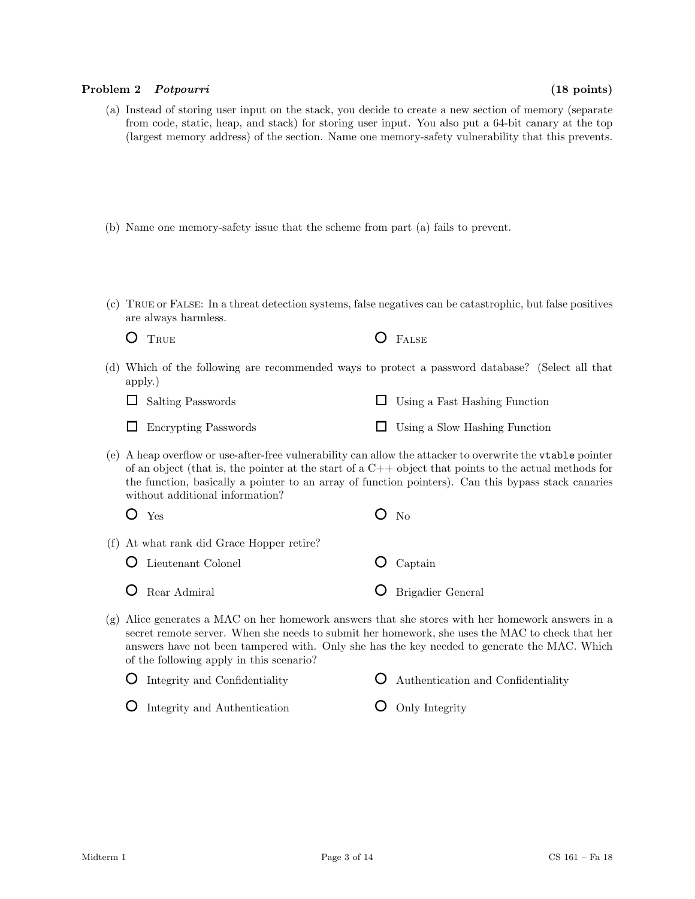#### Problem 2 Potpourri (18 points)

- (a) Instead of storing user input on the stack, you decide to create a new section of memory (separate from code, static, heap, and stack) for storing user input. You also put a 64-bit canary at the top (largest memory address) of the section. Name one memory-safety vulnerability that this prevents.
- (b) Name one memory-safety issue that the scheme from part (a) fails to prevent.
- (c) True or False: In a threat detection systems, false negatives can be catastrophic, but false positives are always harmless.
	- $O$  True

| s<br>A L. |
|-----------|
|           |

(d) Which of the following are recommended ways to protect a password database? (Select all that apply.)

| $\Box$ Salting Passwords    | $\Box$ Using a Fast Hashing Function |
|-----------------------------|--------------------------------------|
| $\Box$ Encrypting Passwords | $\Box$ Using a Slow Hashing Function |

(e) A heap overflow or use-after-free vulnerability can allow the attacker to overwrite the vtable pointer of an object (that is, the pointer at the start of a  $C++$  object that points to the actual methods for the function, basically a pointer to an array of function pointers). Can this bypass stack canaries without additional information?

| $O$ Yes                                   | $O$ No                 |
|-------------------------------------------|------------------------|
| (f) At what rank did Grace Hopper retire? |                        |
| <b>O</b> Lieutenant Colonel               | $\overline{O}$ Captain |

- Rear Admiral
- (g) Alice generates a MAC on her homework answers that she stores with her homework answers in a secret remote server. When she needs to submit her homework, she uses the MAC to check that her answers have not been tampered with. Only she has the key needed to generate the MAC. Which of the following apply in this scenario?

Brigadier General

| $\bullet$ Integrity and Confidentiality | <b>Q</b> Authentication and Confidentiality |
|-----------------------------------------|---------------------------------------------|
| <b>O</b> Integrity and Authentication   | $\bullet$ Only Integrity                    |

Integrity and Authentication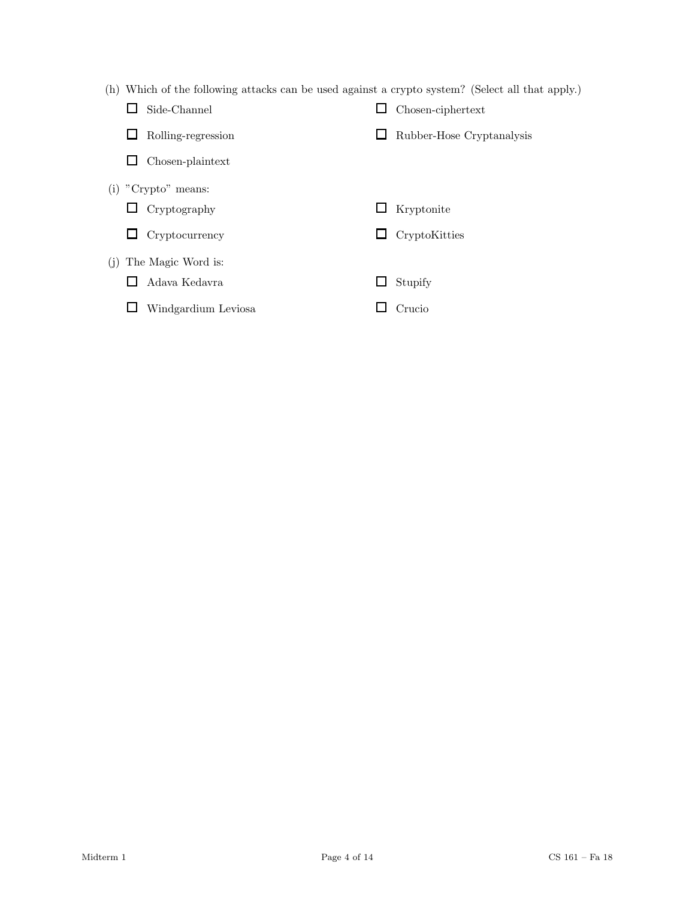(h) Which of the following attacks can be used against a crypto system? (Select all that apply.)

|     | Side-Channel          |   | Chosen-ciphertext         |
|-----|-----------------------|---|---------------------------|
|     | Rolling-regression    |   | Rubber-Hose Cryptanalysis |
|     | Chosen-plaintext      |   |                           |
|     | $(i)$ "Crypto" means: |   |                           |
|     | $\Box$ Cryptography   |   | Kryptonite                |
|     | Cryptocurrency        | ப | CryptoKitties             |
| (i) | The Magic Word is:    |   |                           |
|     | Adava Kedavra         |   | Stupify                   |
|     | Windgardium Leviosa   |   | Crucio                    |
|     |                       |   |                           |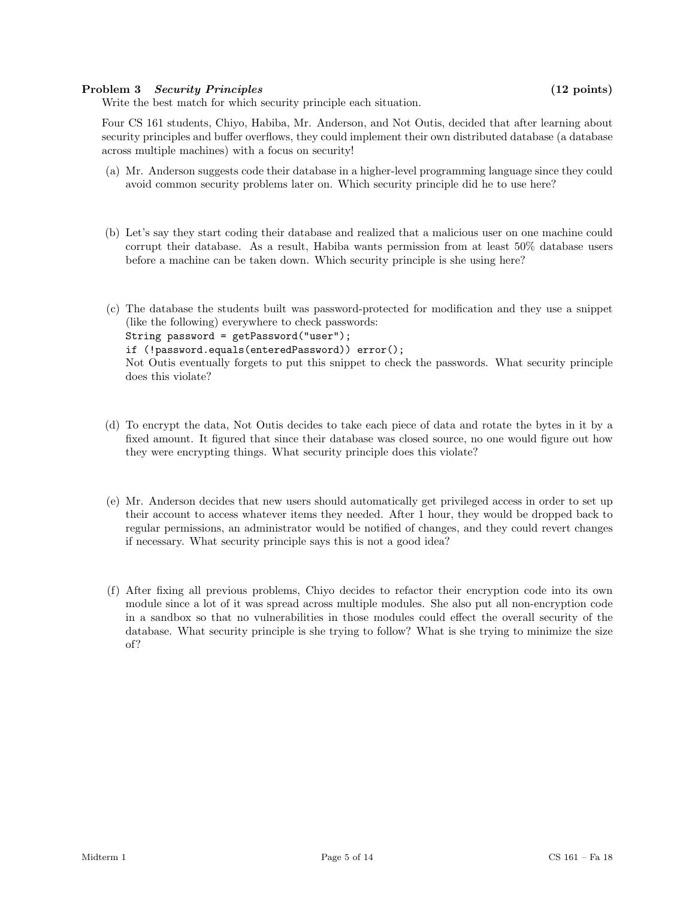## Problem 3 Security Principles (12 points)

Write the best match for which security principle each situation.

Four CS 161 students, Chiyo, Habiba, Mr. Anderson, and Not Outis, decided that after learning about security principles and buffer overflows, they could implement their own distributed database (a database across multiple machines) with a focus on security!

- (a) Mr. Anderson suggests code their database in a higher-level programming language since they could avoid common security problems later on. Which security principle did he to use here?
- (b) Let's say they start coding their database and realized that a malicious user on one machine could corrupt their database. As a result, Habiba wants permission from at least 50% database users before a machine can be taken down. Which security principle is she using here?
- (c) The database the students built was password-protected for modification and they use a snippet (like the following) everywhere to check passwords: String password = getPassword("user"); if (!password.equals(enteredPassword)) error(); Not Outis eventually forgets to put this snippet to check the passwords. What security principle does this violate?
- (d) To encrypt the data, Not Outis decides to take each piece of data and rotate the bytes in it by a fixed amount. It figured that since their database was closed source, no one would figure out how they were encrypting things. What security principle does this violate?
- (e) Mr. Anderson decides that new users should automatically get privileged access in order to set up their account to access whatever items they needed. After 1 hour, they would be dropped back to regular permissions, an administrator would be notified of changes, and they could revert changes if necessary. What security principle says this is not a good idea?
- (f) After fixing all previous problems, Chiyo decides to refactor their encryption code into its own module since a lot of it was spread across multiple modules. She also put all non-encryption code in a sandbox so that no vulnerabilities in those modules could effect the overall security of the database. What security principle is she trying to follow? What is she trying to minimize the size of?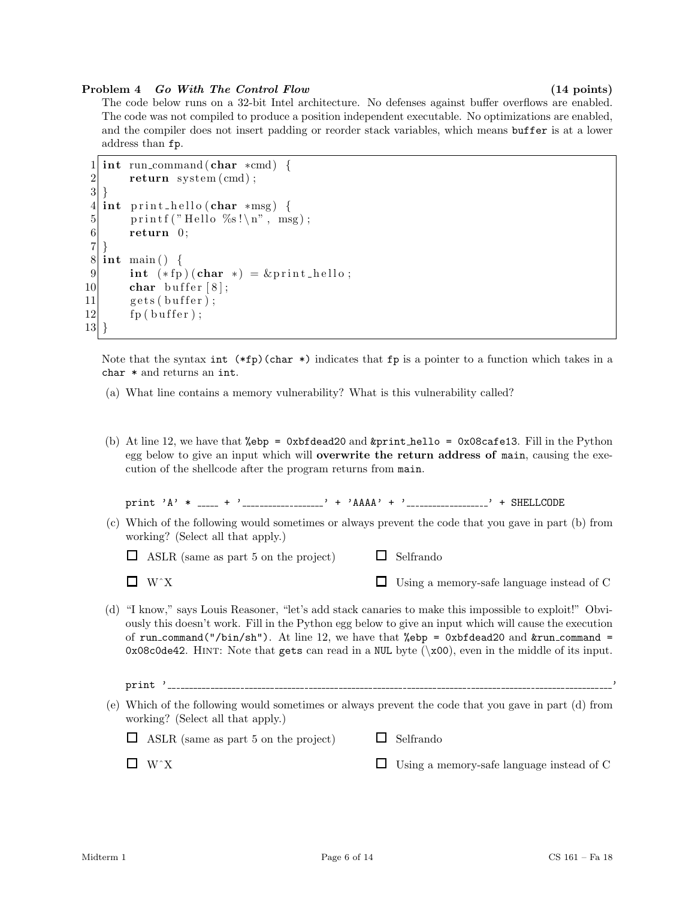#### Problem 4 Go With The Control Flow (14 points)

The code below runs on a 32-bit Intel architecture. No defenses against buffer overflows are enabled. The code was not compiled to produce a position independent executable. No optimizations are enabled, and the compiler does not insert padding or reorder stack variables, which means buffer is at a lower address than fp.

```
1 int run_command (char *cmd) {
2 return system (cmd);
3 }
4 int print_hello (char *msg) {
5 printf ("Hello %s!\n", msg);
6 return 0;
7}
8 \mid \text{int } \text{main}() \mid9 int (*fp)(char *) = &print_hello;
10 char buffer [8];
11 gets (buffer);
12 fp ( buffer);
13 }
```
Note that the syntax int  $(*fp)(char *)$  indicates that fp is a pointer to a function which takes in a char \* and returns an int.

- (a) What line contains a memory vulnerability? What is this vulnerability called?
- (b) At line 12, we have that %ebp = 0xbfdead20 and &print hello = 0x08cafe13. Fill in the Python egg below to give an input which will overwrite the return address of main, causing the execution of the shellcode after the program returns from main.

print 'A' \*  $_{---}$  + ' $_{---}$  '  $_{---}$ ' + 'AAAA' + ' $_{---}$  ' + SHELLCODE

|                                   |  | (c) Which of the following would sometimes or always prevent the code that you gave in part (b) from |  |  |  |  |  |  |
|-----------------------------------|--|------------------------------------------------------------------------------------------------------|--|--|--|--|--|--|
| working? (Select all that apply.) |  |                                                                                                      |  |  |  |  |  |  |

 $\Box$  Selfrando

 $\Box$  ASLR (same as part 5 on the project)

WˆX

Using a memory-safe language instead of C

- (d) "I know," says Louis Reasoner, "let's add stack canaries to make this impossible to exploit!" Obviously this doesn't work. Fill in the Python egg below to give an input which will cause the execution of run\_command("/bin/sh"). At line 12, we have that %ebp = 0xbfdead20 and  $&run_{\text{command}}$  =  $0x08c0de42$ . HINT: Note that gets can read in a NUL byte ( $x00$ ), even in the middle of its input.
- $print$  '  $---$ (e) Which of the following would sometimes or always prevent the code that you gave in part (d) from working? (Select all that apply.)

| $\Box$ ASLR (same as part 5 on the project) | $\Box$ Selfrando |
|---------------------------------------------|------------------|
|                                             |                  |

 $\Box$  W^X

Using a memory-safe language instead of C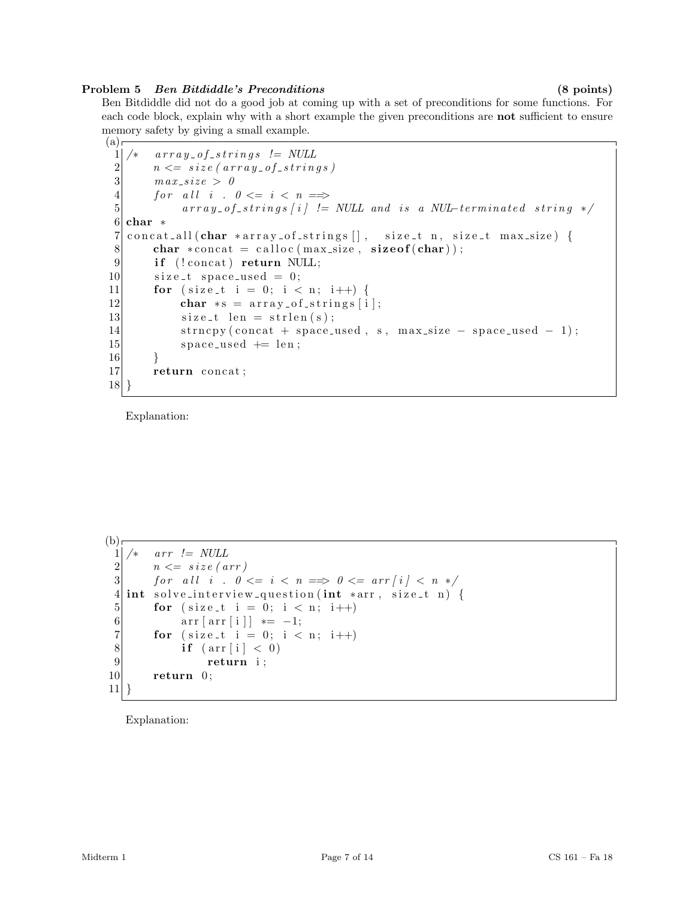## Problem 5 Ben Bitdiddle's Preconditions (8 points)

Ben Bitdiddle did not do a good job at coming up with a set of preconditions for some functions. For each code block, explain why with a short example the given preconditions are **not** sufficient to ensure memory safety by giving a small example.

```
(a)г
 \begin{array}{cc} 1 & \ast & \mathit{array\_of\_strings} & != \; NULL \ 2 & \quad n <= \; size \, (\, \mathit{array\_of\_string} \, \end{array}\begin{array}{ll} 2 & n \leq = \: size \: ( \: array \, \textit{of} \, \textit{string} \, s \, ) \\ n \: max \, size \: > \: 0 \end{array}max\_size > 04 for all i. 0 \le i \le n \implies<br>5 array_{\text{array of} \le trings[i] =}array\_of\_strings[i] \equiv NULL \text{ and } is \text{ a } NULL6 char *7 concat all (char *array of strings \vert \cdot \vert, size t n, size t max size) {
 8 char \ast concat = calloc (max_size, size of (char));
 9 if (!concat) return NULL;
10 size_t space_used = 0;
11 for ( size t i = 0; i < n; i++) {
12 char * s = \arctan s \cdot \arctan s[i];13 size_t len = strlen(s);
14 strncpy (concat + space_used, s, max_size - space_used - 1);
15 space_used + len;
16 }
17 return concat;
18 }
```
Explanation:

```
(b)1 \times \quad arr \ \mathrel{!} = NULL\begin{array}{c|c} 2 & n \leq - \text{size (arr)} \\ 3 & \text{for all } i \text{ . } 0 \leq x \end{array}for \text{ all } i \text{ . } 0 \leq i \leq n \implies 0 \leq \text{ arr}[i] \leq n \neq 14 \mid \text{int} \text{ solve} interview question (int *arr, size_t n) {
  5 for ( size_t i = 0; i < n; i++)
  6 \begin{bmatrix} \arctan \left( \arctan \left[ i \right] \right) \end{bmatrix} = -1;7 for (size_t i = 0; i < n; i++)
  8 if \left(\arctan \left[\begin{array}{c} i \end{array}\right] < 0\right)9 return i;
 10 return 0;
 11 }
```
Explanation: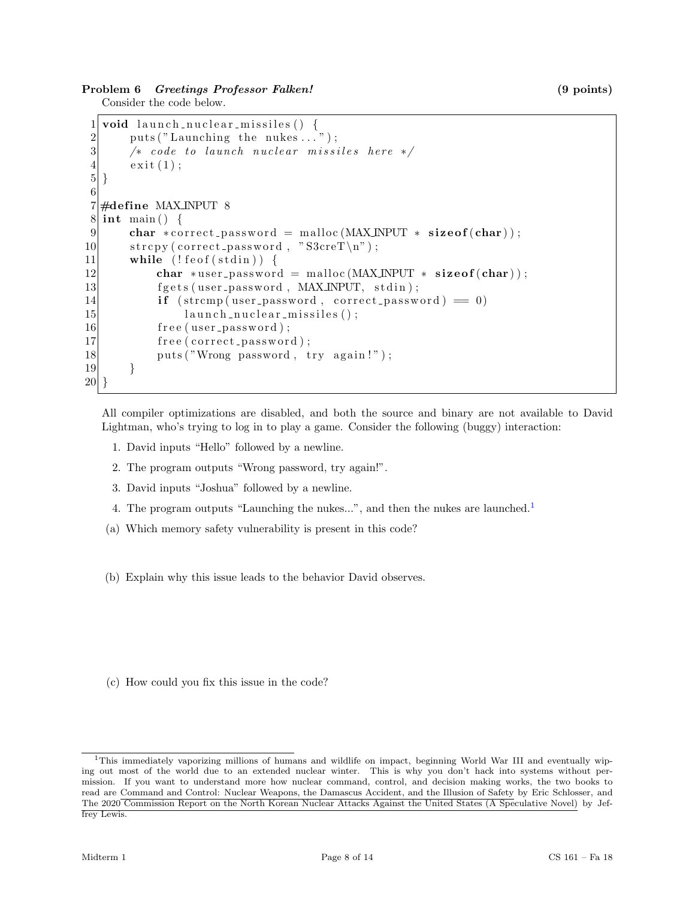## Problem 6 Greetings Professor Falken! (9 points)

Consider the code below.

```
1 void launch nuclear missiles () {
2 \quad \text{puts} (' \text{Launching the nukes} ... );
3 \mid /* code to launch nuclear missiles here */
4 \quad \text{exit}(1);5|}
6
7 \neqdefine MAX_INPUT 8
8 \mid \text{int } \text{main}() \mid9 char * correct_password = malloc (MAX_INPUT * size of (char));
10 \vert strcpy (correct_password, "S3creT\n");
11 while (!f e of (st \text{dim}))12 char *user_password = malloc(MAX_INPUT * size of (char));
13 fgets (user_password, MAX_INPUT, stdin);
14 if (strcmp(user_password, correct_password) = 0)
15 launch_nuclear_missiles();
16 free (user_password);
17 free (correct_password);
18 puts ("Wrong password, try again!");
19 }
20 }
```
All compiler optimizations are disabled, and both the source and binary are not available to David Lightman, who's trying to log in to play a game. Consider the following (buggy) interaction:

- 1. David inputs "Hello" followed by a newline.
- 2. The program outputs "Wrong password, try again!".
- 3. David inputs "Joshua" followed by a newline.
- 4. The program outputs "Launching the nukes...", and then the nukes are launched.<sup>[1](#page-7-0)</sup>
- (a) Which memory safety vulnerability is present in this code?
- (b) Explain why this issue leads to the behavior David observes.

(c) How could you fix this issue in the code?

<span id="page-7-0"></span><sup>&</sup>lt;sup>1</sup>This immediately vaporizing millions of humans and wildlife on impact, beginning World War III and eventually wiping out most of the world due to an extended nuclear winter. This is why you don't hack into systems without permission. If you want to understand more how nuclear command, control, and decision making works, the two books to read are Command and Control: Nuclear Weapons, the Damascus Accident, and the Illusion of Safety by Eric Schlosser, and The 2020 Commission Report on the North Korean Nuclear Attacks Against the United States (A Speculative Novel) by Jeffrey Lewis.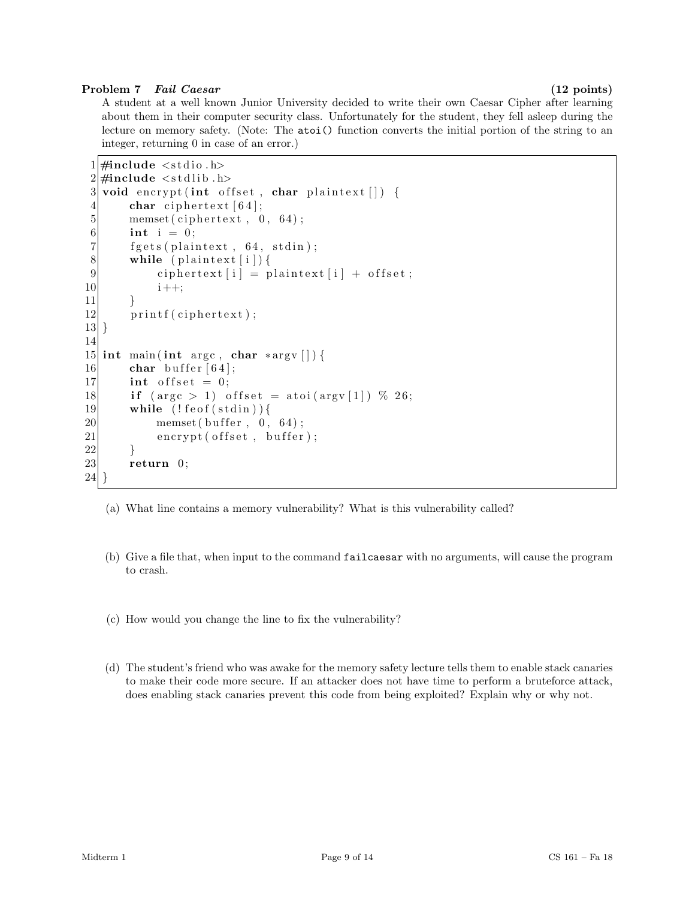## Problem 7 Fail Caesar (12 points)

A student at a well known Junior University decided to write their own Caesar Cipher after learning about them in their computer security class. Unfortunately for the student, they fell asleep during the lecture on memory safety. (Note: The atoi() function converts the initial portion of the string to an integer, returning 0 in case of an error.)

```
1 \#include \ltstdio.h>
2 \#include \ltst dlib.h>
3 void encrypt (int offset, char plaintext []) {
4 char ciphertext [64];
5 memset ( ciphertext, 0, 64);
6 int i = 0;
7 fgets (plaintext, 64, stdin);
8 while (plaintext [i]) {
9 ciphertext [i] = plaintext [i] + offset;
10 i ++;
11 }
12 printf (ciphertext);
13 }
14
15 int main (int argc, char *argv []) {
16 char buffer [64];
17 int offset = 0;
18 if (\text{arg } c > 1) offset = atoi(\text{arg } v \mid 1) % 26;
19 while (!f e of (st din))20 memset ( buffer, 0, 64 );
21 encrypt ( offset, buffer );
22 }
23 return 0;
24 }
```
- (a) What line contains a memory vulnerability? What is this vulnerability called?
- (b) Give a file that, when input to the command failcaesar with no arguments, will cause the program to crash.
- (c) How would you change the line to fix the vulnerability?
- (d) The student's friend who was awake for the memory safety lecture tells them to enable stack canaries to make their code more secure. If an attacker does not have time to perform a bruteforce attack, does enabling stack canaries prevent this code from being exploited? Explain why or why not.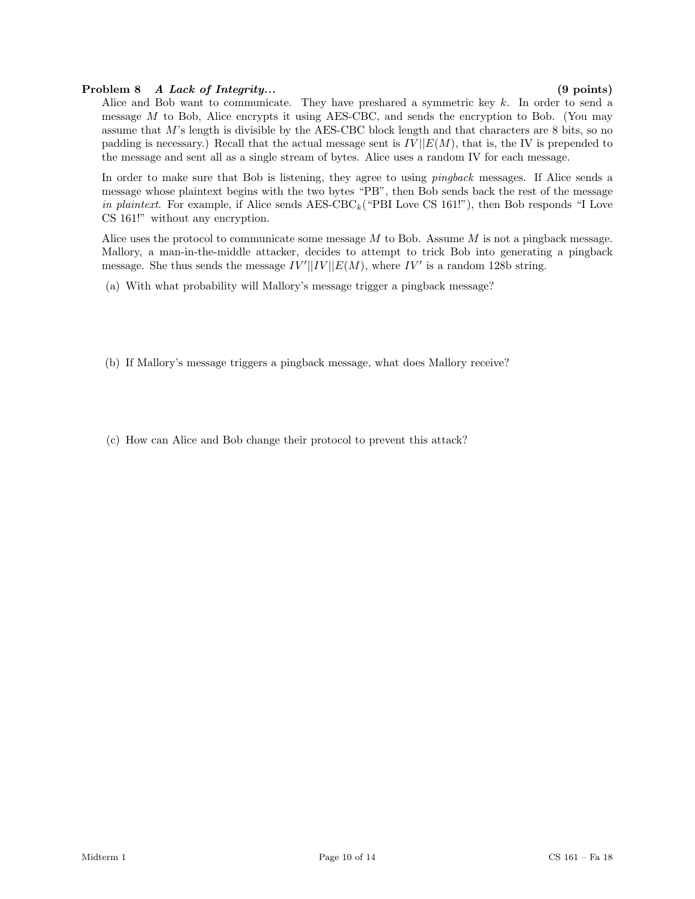## Problem 8 A Lack of Integrity... (9 points)

Alice and Bob want to communicate. They have preshared a symmetric key  $k$ . In order to send a message  $M$  to Bob, Alice encrypts it using AES-CBC, and sends the encryption to Bob. (You may assume that M's length is divisible by the AES-CBC block length and that characters are 8 bits, so no padding is necessary.) Recall that the actual message sent is  $IV||E(M)$ , that is, the IV is prepended to the message and sent all as a single stream of bytes. Alice uses a random IV for each message.

In order to make sure that Bob is listening, they agree to using *pingback* messages. If Alice sends a message whose plaintext begins with the two bytes "PB", then Bob sends back the rest of the message in plaintext. For example, if Alice sends  $\text{AES-CBC}_k$  ("PBI Love CS 161!"), then Bob responds "I Love CS 161!" without any encryption.

Alice uses the protocol to communicate some message  $M$  to Bob. Assume  $M$  is not a pingback message. Mallory, a man-in-the-middle attacker, decides to attempt to trick Bob into generating a pingback message. She thus sends the message  $IV'||IV||E(M)$ , where  $IV'$  is a random 128b string.

(a) With what probability will Mallory's message trigger a pingback message?

- (b) If Mallory's message triggers a pingback message, what does Mallory receive?
- (c) How can Alice and Bob change their protocol to prevent this attack?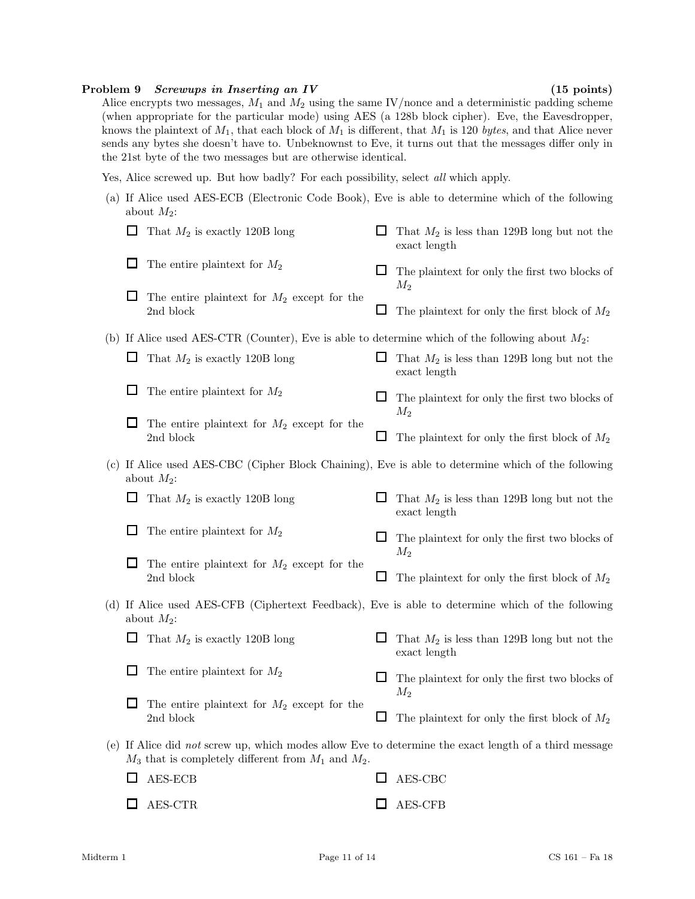#### Problem 9 Screwups in Inserting an IV (15 points)

Alice encrypts two messages,  $M_1$  and  $M_2$  using the same IV/nonce and a deterministic padding scheme (when appropriate for the particular mode) using AES (a 128b block cipher). Eve, the Eavesdropper, knows the plaintext of  $M_1$ , that each block of  $M_1$  is different, that  $M_1$  is 120 bytes, and that Alice never sends any bytes she doesn't have to. Unbeknownst to Eve, it turns out that the messages differ only in the 21st byte of the two messages but are otherwise identical.

Yes, Alice screwed up. But how badly? For each possibility, select all which apply.

(a) If Alice used AES-ECB (Electronic Code Book), Eve is able to determine which of the following about  $M_2$ :

|                                 | That $M_2$ is exactly 120B long                                                                                                                                    | That $M_2$ is less than 129B long but not the<br>exact length |
|---------------------------------|--------------------------------------------------------------------------------------------------------------------------------------------------------------------|---------------------------------------------------------------|
| ப                               | The entire plaintext for $M_2$                                                                                                                                     | The plaintext for only the first two blocks of                |
|                                 | The entire plaintext for $M_2$ except for the<br>2nd block                                                                                                         | $M_2$<br>The plaintext for only the first block of $M_2$      |
|                                 | (b) If Alice used AES-CTR (Counter), Eve is able to determine which of the following about $M_2$ :                                                                 |                                                               |
| That $M_2$ is exactly 120B long |                                                                                                                                                                    | That $M_2$ is less than 129B long but not the<br>exact length |
|                                 | The entire plaintext for $M_2$                                                                                                                                     | The plaintext for only the first two blocks of<br>$M_2$       |
|                                 | The entire plaintext for $M_2$ except for the<br>2nd block                                                                                                         | The plaintext for only the first block of $M_2$               |
|                                 | (c) If Alice used AES-CBC (Cipher Block Chaining), Eve is able to determine which of the following<br>about $M_2$ :                                                |                                                               |
| ப                               | That $M_2$ is exactly 120B long                                                                                                                                    | That $M_2$ is less than 129B long but not the<br>exact length |
|                                 | The entire plaintext for $M_2$                                                                                                                                     | The plaintext for only the first two blocks of<br>$M_2$       |
|                                 | The entire plaintext for $M_2$ except for the<br>2nd block                                                                                                         | The plaintext for only the first block of $M_2$               |
|                                 | (d) If Alice used AES-CFB (Ciphertext Feedback), Eve is able to determine which of the following<br>about $M_2$ :                                                  |                                                               |
| ப                               | That $M_2$ is exactly 120B long                                                                                                                                    | That $M_2$ is less than 129B long but not the<br>exact length |
|                                 | The entire plaintext for $M_2$                                                                                                                                     | The plaintext for only the first two blocks of<br>$M_2$       |
|                                 | The entire plaintext for $M_2$ except for the<br>2nd block                                                                                                         | The plaintext for only the first block of $M_2$               |
|                                 | (e) If Alice did not screw up, which modes allow Eve to determine the exact length of a third message<br>$M_3$ that is completely different from $M_1$ and $M_2$ . |                                                               |
| ப                               | AES-ECB                                                                                                                                                            | AES-CBC                                                       |
|                                 | AES-CTR                                                                                                                                                            | AES-CFB                                                       |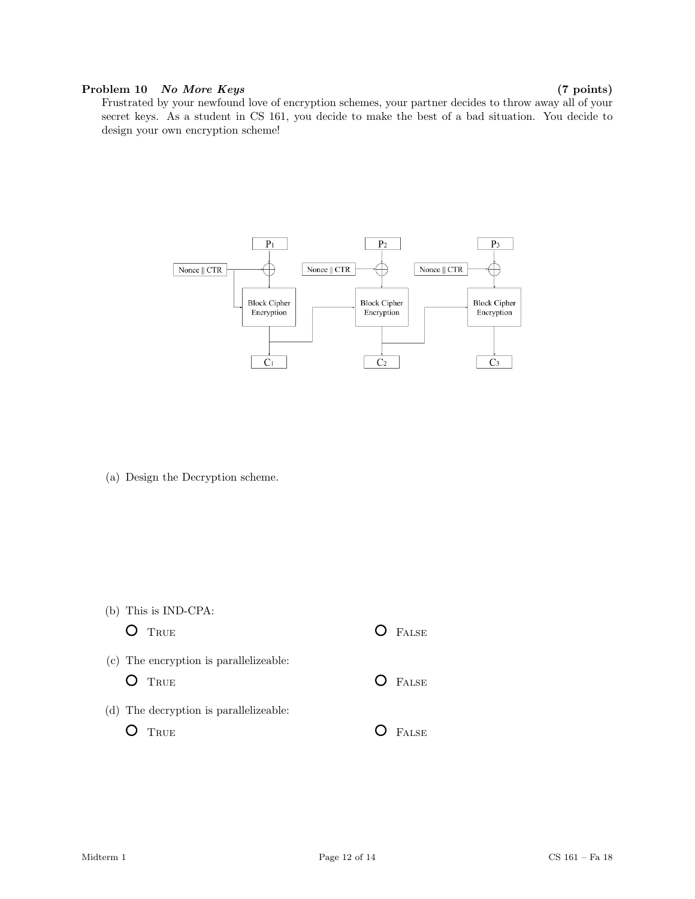## Problem 10 No More Keys (7 points)

Frustrated by your newfound love of encryption schemes, your partner decides to throw away all of your secret keys. As a student in CS 161, you decide to make the best of a bad situation. You decide to design your own encryption scheme!



(a) Design the Decryption scheme.

| (b) This is IND-CPA:<br>$O$ TRUE                   | $O$ FALSE    |
|----------------------------------------------------|--------------|
| (c) The encryption is parallelizeable:<br>$O$ True | $O$ FALSE    |
| (d) The decryption is parallelizeable:<br>TRUE     | <b>FALSE</b> |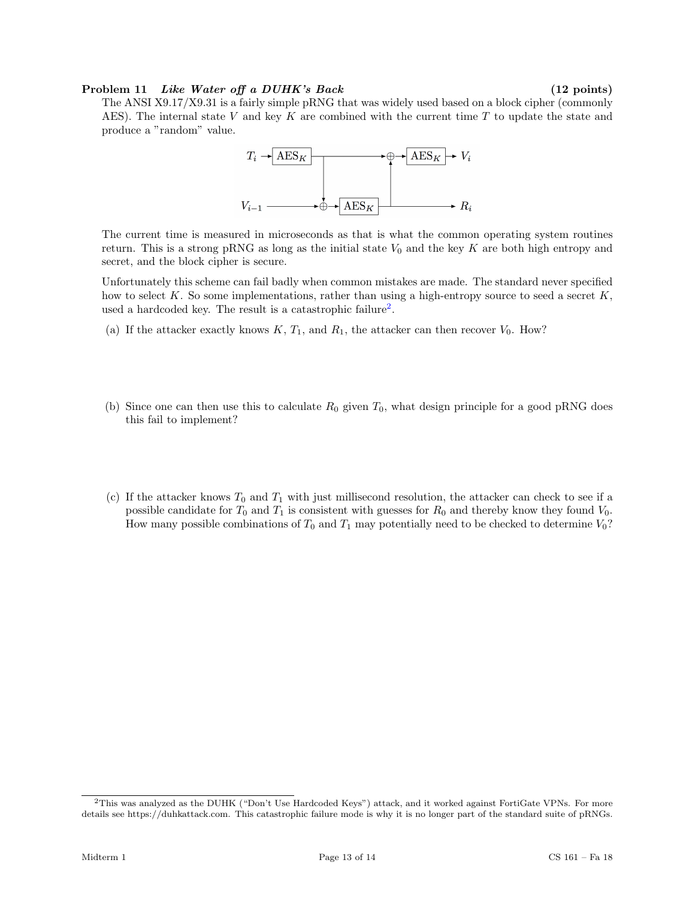#### Problem 11 Like Water off a DUHK's Back (12 points)

The ANSI X9.17/X9.31 is a fairly simple pRNG that was widely used based on a block cipher (commonly AES). The internal state V and key K are combined with the current time T to update the state and produce a "random" value.



The current time is measured in microseconds as that is what the common operating system routines return. This is a strong pRNG as long as the initial state  $V_0$  and the key K are both high entropy and secret, and the block cipher is secure.

Unfortunately this scheme can fail badly when common mistakes are made. The standard never specified how to select K. So some implementations, rather than using a high-entropy source to seed a secret  $K$ , used a hardcoded key. The result is a catastrophic failure<sup>[2](#page-12-0)</sup>.

- (a) If the attacker exactly knows  $K, T_1$ , and  $R_1$ , the attacker can then recover  $V_0$ . How?
- (b) Since one can then use this to calculate  $R_0$  given  $T_0$ , what design principle for a good pRNG does this fail to implement?
- (c) If the attacker knows  $T_0$  and  $T_1$  with just millisecond resolution, the attacker can check to see if a possible candidate for  $T_0$  and  $T_1$  is consistent with guesses for  $R_0$  and thereby know they found  $V_0$ . How many possible combinations of  $T_0$  and  $T_1$  may potentially need to be checked to determine  $V_0$ ?

<span id="page-12-0"></span><sup>2</sup>This was analyzed as the DUHK ("Don't Use Hardcoded Keys") attack, and it worked against FortiGate VPNs. For more details see https://duhkattack.com. This catastrophic failure mode is why it is no longer part of the standard suite of pRNGs.